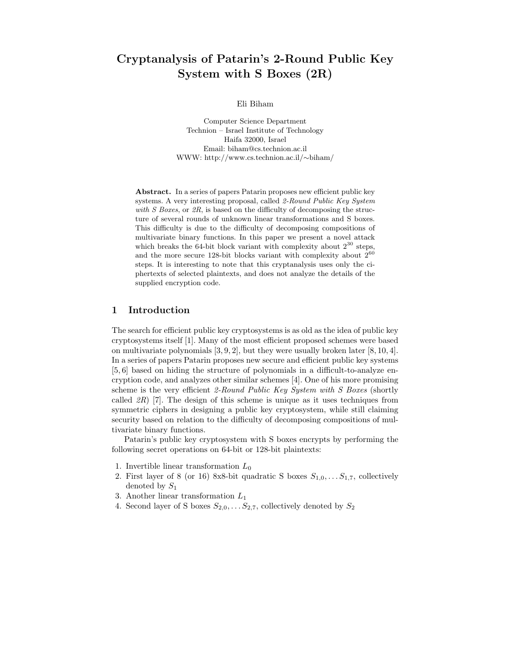# Cryptanalysis of Patarin's 2-Round Public Key System with S Boxes (2R)

Eli Biham

Computer Science Department Technion – Israel Institute of Technology Haifa 32000, Israel Email: biham@cs.technion.ac.il WWW: http://www.cs.technion.ac.il/∼biham/

Abstract. In a series of papers Patarin proposes new efficient public key systems. A very interesting proposal, called 2-Round Public Key System with  $S$  Boxes, or  $2R$ , is based on the difficulty of decomposing the structure of several rounds of unknown linear transformations and S boxes. This difficulty is due to the difficulty of decomposing compositions of multivariate binary functions. In this paper we present a novel attack which breaks the  $64$ -bit block variant with complexity about  $2^{30}$  steps, and the more secure 128-bit blocks variant with complexity about  $2^{60}$ steps. It is interesting to note that this cryptanalysis uses only the ciphertexts of selected plaintexts, and does not analyze the details of the supplied encryption code.

## 1 Introduction

The search for efficient public key cryptosystems is as old as the idea of public key cryptosystems itself [1]. Many of the most efficient proposed schemes were based on multivariate polynomials [3, 9, 2], but they were usually broken later [8, 10, 4]. In a series of papers Patarin proposes new secure and efficient public key systems [5, 6] based on hiding the structure of polynomials in a difficult-to-analyze encryption code, and analyzes other similar schemes [4]. One of his more promising scheme is the very efficient 2-Round Public Key System with S Boxes (shortly called  $2R$ ) [7]. The design of this scheme is unique as it uses techniques from symmetric ciphers in designing a public key cryptosystem, while still claiming security based on relation to the difficulty of decomposing compositions of multivariate binary functions.

Patarin's public key cryptosystem with S boxes encrypts by performing the following secret operations on 64-bit or 128-bit plaintexts:

- 1. Invertible linear transformation  $L_0$
- 2. First layer of 8 (or 16) 8x8-bit quadratic S boxes  $S_{1,0}, \ldots S_{1,7}$ , collectively denoted by  $S_1$
- 3. Another linear transformation  $L_1$
- 4. Second layer of S boxes  $S_{2,0}, \ldots, S_{2,7}$ , collectively denoted by  $S_2$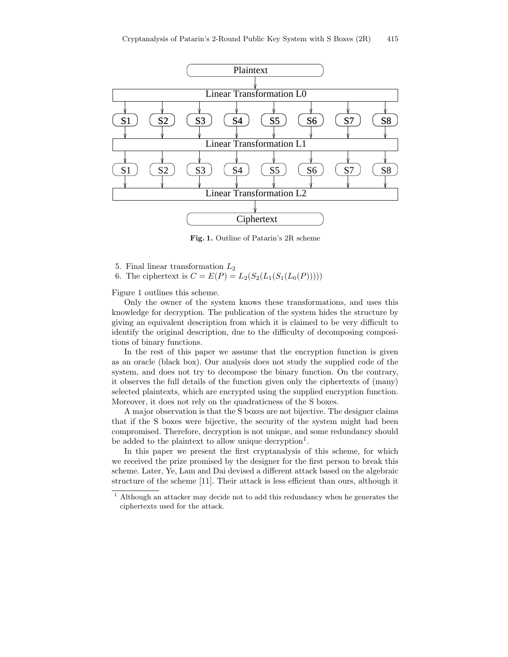

Fig. 1. Outline of Patarin's 2R scheme

- 5. Final linear transformation  $L_2$
- 6. The ciphertext is  $C = E(P) = L_2(S_2(L_1(S_1(L_0(P))))$

Figure 1 outlines this scheme.

Only the owner of the system knows these transformations, and uses this knowledge for decryption. The publication of the system hides the structure by giving an equivalent description from which it is claimed to be very difficult to identify the original description, due to the difficulty of decomposing compositions of binary functions.

In the rest of this paper we assume that the encryption function is given as an oracle (black box). Our analysis does not study the supplied code of the system, and does not try to decompose the binary function. On the contrary, it observes the full details of the function given only the ciphertexts of (many) selected plaintexts, which are encrypted using the supplied encryption function. Moreover, it does not rely on the quadraticness of the S boxes.

A major observation is that the S boxes are not bijective. The designer claims that if the S boxes were bijective, the security of the system might had been compromised. Therefore, decryption is not unique, and some redundancy should be added to the plaintext to allow unique decryption<sup>1</sup>.

In this paper we present the first cryptanalysis of this scheme, for which we received the prize promised by the designer for the first person to break this scheme. Later, Ye, Lam and Dai devised a different attack based on the algebraic structure of the scheme [11]. Their attack is less efficient than ours, although it

<sup>&</sup>lt;sup>1</sup> Although an attacker may decide not to add this redundancy when he generates the ciphertexts used for the attack.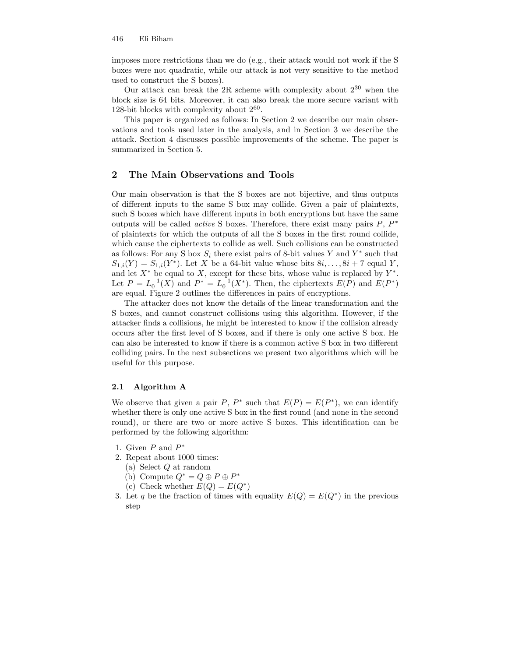imposes more restrictions than we do (e.g., their attack would not work if the S boxes were not quadratic, while our attack is not very sensitive to the method used to construct the S boxes).

Our attack can break the  $2R$  scheme with complexity about  $2^{30}$  when the block size is 64 bits. Moreover, it can also break the more secure variant with 128-bit blocks with complexity about  $2^{60}$ .

This paper is organized as follows: In Section 2 we describe our main observations and tools used later in the analysis, and in Section 3 we describe the attack. Section 4 discusses possible improvements of the scheme. The paper is summarized in Section 5.

## 2 The Main Observations and Tools

Our main observation is that the S boxes are not bijective, and thus outputs of different inputs to the same S box may collide. Given a pair of plaintexts, such S boxes which have different inputs in both encryptions but have the same outputs will be called *active* S boxes. Therefore, there exist many pairs  $P, P^*$ of plaintexts for which the outputs of all the S boxes in the first round collide, which cause the ciphertexts to collide as well. Such collisions can be constructed as follows: For any S box  $S_i$  there exist pairs of 8-bit values Y and Y<sup>\*</sup> such that  $S_{1,i}(Y) = S_{1,i}(Y^*)$ . Let X be a 64-bit value whose bits  $8i, \ldots, 8i+7$  equal Y, and let  $X^*$  be equal to X, except for these bits, whose value is replaced by  $Y^*$ . Let  $P = L_0^{-1}(X)$  and  $P^* = L_0^{-1}(X^*)$ . Then, the ciphertexts  $E(P)$  and  $E(P^*)$ are equal. Figure 2 outlines the differences in pairs of encryptions.

The attacker does not know the details of the linear transformation and the S boxes, and cannot construct collisions using this algorithm. However, if the attacker finds a collisions, he might be interested to know if the collision already occurs after the first level of S boxes, and if there is only one active S box. He can also be interested to know if there is a common active S box in two different colliding pairs. In the next subsections we present two algorithms which will be useful for this purpose.

### 2.1 Algorithm A

We observe that given a pair P,  $P^*$  such that  $E(P) = E(P^*)$ , we can identify whether there is only one active S box in the first round (and none in the second round), or there are two or more active S boxes. This identification can be performed by the following algorithm:

- 1. Given  $P$  and  $P^*$
- 2. Repeat about 1000 times:
	- (a) Select Q at random
	- (b) Compute  $Q^* = Q \oplus P \oplus P^*$
	- (c) Check whether  $E(Q) = E(Q^*)$
- 3. Let q be the fraction of times with equality  $E(Q) = E(Q^*)$  in the previous step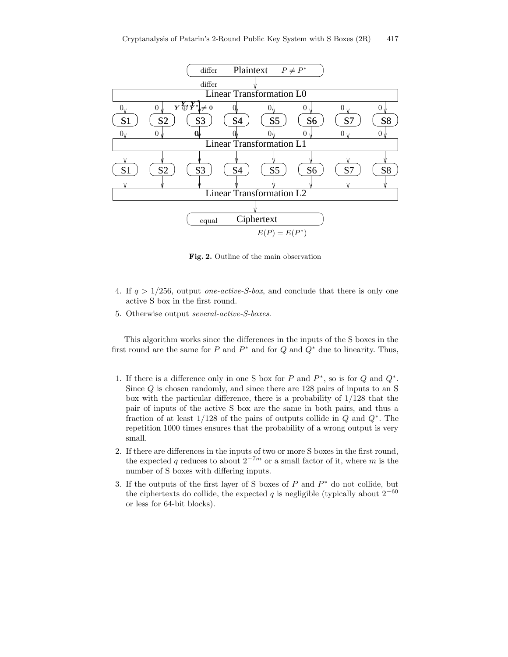

Fig. 2. Outline of the main observation

- 4. If  $q > 1/256$ , output *one-active-S-box*, and conclude that there is only one active S box in the first round.
- 5. Otherwise output several-active-S-boxes.

This algorithm works since the differences in the inputs of the S boxes in the first round are the same for P and  $P^*$  and for Q and  $Q^*$  due to linearity. Thus,

- 1. If there is a difference only in one S box for P and  $P^*$ , so is for Q and  $Q^*$ . Since Q is chosen randomly, and since there are 128 pairs of inputs to an S box with the particular difference, there is a probability of 1/128 that the pair of inputs of the active S box are the same in both pairs, and thus a fraction of at least  $1/128$  of the pairs of outputs collide in  $Q$  and  $Q^*$ . The repetition 1000 times ensures that the probability of a wrong output is very small.
- 2. If there are differences in the inputs of two or more S boxes in the first round, the expected q reduces to about  $2^{-7m}$  or a small factor of it, where m is the number of S boxes with differing inputs.
- 3. If the outputs of the first layer of S boxes of  $P$  and  $P^*$  do not collide, but the ciphertexts do collide, the expected q is negligible (typically about  $2^{-60}$ ) or less for 64-bit blocks).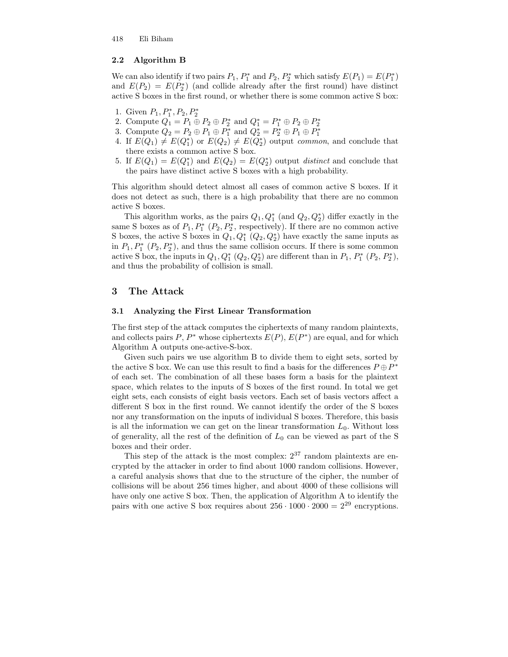#### 418 Eli Biham

### 2.2 Algorithm B

We can also identify if two pairs  $P_1$ ,  $P_1^*$  and  $P_2$ ,  $P_2^*$  which satisfy  $E(P_1) = E(P_1^*)$ and  $E(P_2) = E(P_2^*)$  (and collide already after the first round) have distinct active S boxes in the first round, or whether there is some common active S box:

- 1. Given  $P_1, P_1^*, P_2, P_2^*$
- 2. Compute  $Q_1 = P_1 \oplus P_2 \oplus P_2^*$  and  $Q_1^* = P_1^* \oplus P_2 \oplus P_2^*$
- 3. Compute  $Q_2 = P_2 \oplus P_1 \oplus P_1^*$  and  $Q_2^* = P_2^* \oplus P_1 \oplus P_1^*$
- 4. If  $E(Q_1) \neq E(Q_1^*)$  or  $E(Q_2) \neq E(Q_2^*)$  output *common*, and conclude that there exists a common active S box.
- 5. If  $E(Q_1) = E(Q_1^*)$  and  $E(Q_2) = E(Q_2^*)$  output *distinct* and conclude that the pairs have distinct active S boxes with a high probability.

This algorithm should detect almost all cases of common active S boxes. If it does not detect as such, there is a high probability that there are no common active S boxes.

This algorithm works, as the pairs  $Q_1, Q_1^*$  (and  $Q_2, Q_2^*$ ) differ exactly in the same S boxes as of  $P_1, P_1^*$   $(P_2, P_2^*$ , respectively). If there are no common active S boxes, the active S boxes in  $Q_1, Q_1^*$   $(Q_2, Q_2^*)$  have exactly the same inputs as in  $P_1, P_1^*$   $(P_2, P_2^*)$ , and thus the same collision occurs. If there is some common active S box, the inputs in  $Q_1, Q_1^*$   $(Q_2, Q_2^*)$  are different than in  $P_1, P_1^*$   $(P_2, P_2^*)$ , and thus the probability of collision is small.

# 3 The Attack

#### 3.1 Analyzing the First Linear Transformation

The first step of the attack computes the ciphertexts of many random plaintexts, and collects pairs  $P, P^*$  whose ciphertexts  $E(P), E(P^*)$  are equal, and for which Algorithm A outputs one-active-S-box.

Given such pairs we use algorithm B to divide them to eight sets, sorted by the active S box. We can use this result to find a basis for the differences  $P\oplus P^*$ of each set. The combination of all these bases form a basis for the plaintext space, which relates to the inputs of S boxes of the first round. In total we get eight sets, each consists of eight basis vectors. Each set of basis vectors affect a different S box in the first round. We cannot identify the order of the S boxes nor any transformation on the inputs of individual S boxes. Therefore, this basis is all the information we can get on the linear transformation  $L_0$ . Without loss of generality, all the rest of the definition of  $L_0$  can be viewed as part of the S boxes and their order.

This step of the attack is the most complex:  $2^{37}$  random plaintexts are encrypted by the attacker in order to find about 1000 random collisions. However, a careful analysis shows that due to the structure of the cipher, the number of collisions will be about 256 times higher, and about 4000 of these collisions will have only one active S box. Then, the application of Algorithm A to identify the pairs with one active S box requires about  $256 \cdot 1000 \cdot 2000 = 2^{29}$  encryptions.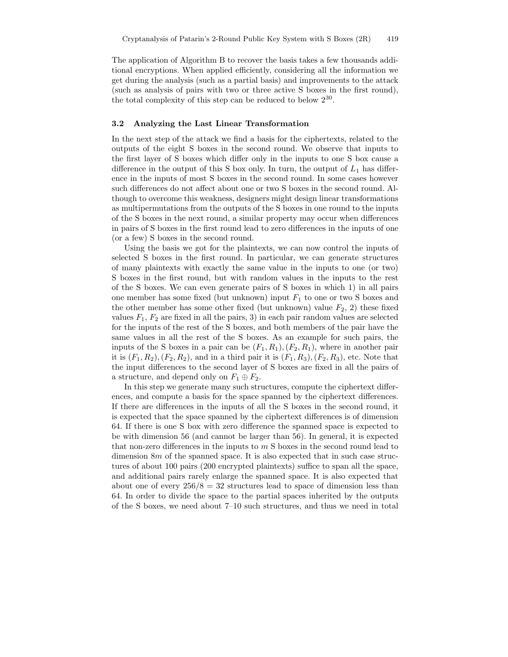The application of Algorithm B to recover the basis takes a few thousands additional encryptions. When applied efficiently, considering all the information we get during the analysis (such as a partial basis) and improvements to the attack (such as analysis of pairs with two or three active S boxes in the first round), the total complexity of this step can be reduced to below  $2^{30}$ .

### 3.2 Analyzing the Last Linear Transformation

In the next step of the attack we find a basis for the ciphertexts, related to the outputs of the eight S boxes in the second round. We observe that inputs to the first layer of S boxes which differ only in the inputs to one S box cause a difference in the output of this S box only. In turn, the output of  $L_1$  has difference in the inputs of most S boxes in the second round. In some cases however such differences do not affect about one or two S boxes in the second round. Although to overcome this weakness, designers might design linear transformations as multipermutations from the outputs of the S boxes in one round to the inputs of the S boxes in the next round, a similar property may occur when differences in pairs of S boxes in the first round lead to zero differences in the inputs of one (or a few) S boxes in the second round.

Using the basis we got for the plaintexts, we can now control the inputs of selected S boxes in the first round. In particular, we can generate structures of many plaintexts with exactly the same value in the inputs to one (or two) S boxes in the first round, but with random values in the inputs to the rest of the S boxes. We can even generate pairs of S boxes in which 1) in all pairs one member has some fixed (but unknown) input  $F_1$  to one or two S boxes and the other member has some other fixed (but unknown) value  $F_2$ , 2) these fixed values  $F_1, F_2$  are fixed in all the pairs, 3) in each pair random values are selected for the inputs of the rest of the S boxes, and both members of the pair have the same values in all the rest of the S boxes. As an example for such pairs, the inputs of the S boxes in a pair can be  $(F_1, R_1), (F_2, R_1)$ , where in another pair it is  $(F_1, R_2), (F_2, R_2)$ , and in a third pair it is  $(F_1, R_3), (F_2, R_3)$ , etc. Note that the input differences to the second layer of S boxes are fixed in all the pairs of a structure, and depend only on  $F_1 \oplus F_2$ .

In this step we generate many such structures, compute the ciphertext differences, and compute a basis for the space spanned by the ciphertext differences. If there are differences in the inputs of all the S boxes in the second round, it is expected that the space spanned by the ciphertext differences is of dimension 64. If there is one S box with zero difference the spanned space is expected to be with dimension 56 (and cannot be larger than 56). In general, it is expected that non-zero differences in the inputs to  $m S$  boxes in the second round lead to dimension 8m of the spanned space. It is also expected that in such case structures of about 100 pairs (200 encrypted plaintexts) suffice to span all the space, and additional pairs rarely enlarge the spanned space. It is also expected that about one of every  $256/8 = 32$  structures lead to space of dimension less than 64. In order to divide the space to the partial spaces inherited by the outputs of the S boxes, we need about 7–10 such structures, and thus we need in total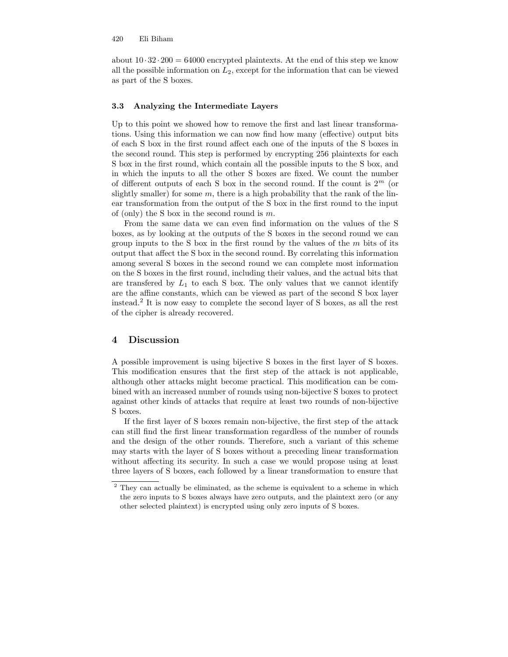#### 420 Eli Biham

about  $10 \cdot 32 \cdot 200 = 64000$  encrypted plaintexts. At the end of this step we know all the possible information on  $L_2$ , except for the information that can be viewed as part of the S boxes.

#### 3.3 Analyzing the Intermediate Layers

Up to this point we showed how to remove the first and last linear transformations. Using this information we can now find how many (effective) output bits of each S box in the first round affect each one of the inputs of the S boxes in the second round. This step is performed by encrypting 256 plaintexts for each S box in the first round, which contain all the possible inputs to the S box, and in which the inputs to all the other S boxes are fixed. We count the number of different outputs of each S box in the second round. If the count is  $2^m$  (or slightly smaller) for some  $m$ , there is a high probability that the rank of the linear transformation from the output of the S box in the first round to the input of (only) the S box in the second round is  $m$ .

From the same data we can even find information on the values of the S boxes, as by looking at the outputs of the S boxes in the second round we can group inputs to the S box in the first round by the values of the  $m$  bits of its output that affect the S box in the second round. By correlating this information among several S boxes in the second round we can complete most information on the S boxes in the first round, including their values, and the actual bits that are transferred by  $L_1$  to each S box. The only values that we cannot identify are the affine constants, which can be viewed as part of the second S box layer instead.<sup>2</sup> It is now easy to complete the second layer of S boxes, as all the rest of the cipher is already recovered.

# 4 Discussion

A possible improvement is using bijective S boxes in the first layer of S boxes. This modification ensures that the first step of the attack is not applicable, although other attacks might become practical. This modification can be combined with an increased number of rounds using non-bijective S boxes to protect against other kinds of attacks that require at least two rounds of non-bijective S boxes.

If the first layer of S boxes remain non-bijective, the first step of the attack can still find the first linear transformation regardless of the number of rounds and the design of the other rounds. Therefore, such a variant of this scheme may starts with the layer of S boxes without a preceding linear transformation without affecting its security. In such a case we would propose using at least three layers of S boxes, each followed by a linear transformation to ensure that

<sup>&</sup>lt;sup>2</sup> They can actually be eliminated, as the scheme is equivalent to a scheme in which the zero inputs to S boxes always have zero outputs, and the plaintext zero (or any other selected plaintext) is encrypted using only zero inputs of S boxes.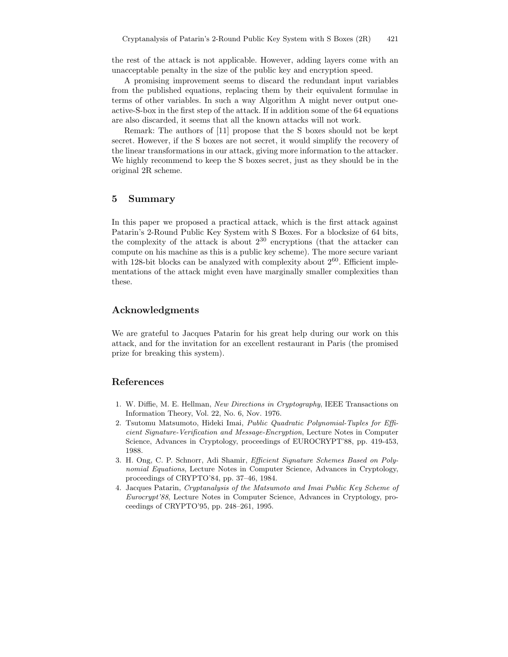the rest of the attack is not applicable. However, adding layers come with an unacceptable penalty in the size of the public key and encryption speed.

A promising improvement seems to discard the redundant input variables from the published equations, replacing them by their equivalent formulae in terms of other variables. In such a way Algorithm A might never output oneactive-S-box in the first step of the attack. If in addition some of the 64 equations are also discarded, it seems that all the known attacks will not work.

Remark: The authors of [11] propose that the S boxes should not be kept secret. However, if the S boxes are not secret, it would simplify the recovery of the linear transformations in our attack, giving more information to the attacker. We highly recommend to keep the S boxes secret, just as they should be in the original 2R scheme.

## 5 Summary

In this paper we proposed a practical attack, which is the first attack against Patarin's 2-Round Public Key System with S Boxes. For a blocksize of 64 bits, the complexity of the attack is about  $2^{30}$  encryptions (that the attacker can compute on his machine as this is a public key scheme). The more secure variant with 128-bit blocks can be analyzed with complexity about  $2^{60}$ . Efficient implementations of the attack might even have marginally smaller complexities than these.

# Acknowledgments

We are grateful to Jacques Patarin for his great help during our work on this attack, and for the invitation for an excellent restaurant in Paris (the promised prize for breaking this system).

# References

- 1. W. Diffie, M. E. Hellman, New Directions in Cryptography, IEEE Transactions on Information Theory, Vol. 22, No. 6, Nov. 1976.
- 2. Tsutomu Matsumoto, Hideki Imai, Public Quadratic Polynomial-Tuples for Efficient Signature-Verification and Message-Encryption, Lecture Notes in Computer Science, Advances in Cryptology, proceedings of EUROCRYPT'88, pp. 419-453, 1988.
- 3. H. Ong, C. P. Schnorr, Adi Shamir, Efficient Signature Schemes Based on Polynomial Equations, Lecture Notes in Computer Science, Advances in Cryptology, proceedings of CRYPTO'84, pp. 37–46, 1984.
- 4. Jacques Patarin, Cryptanalysis of the Matsumoto and Imai Public Key Scheme of Eurocrypt'88, Lecture Notes in Computer Science, Advances in Cryptology, proceedings of CRYPTO'95, pp. 248–261, 1995.